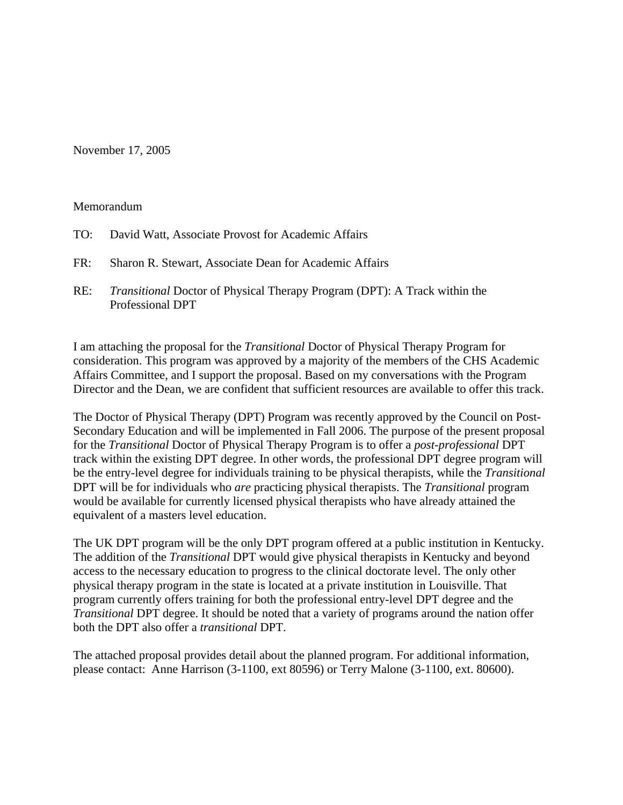November 17, 2005

### Memorandum

- TO: David Watt, Associate Provost for Academic Affairs
- FR: Sharon R. Stewart, Associate Dean for Academic Affairs
- RE: *Transitional* Doctor of Physical Therapy Program (DPT): A Track within the Professional DPT

I am attaching the proposal for the *Transitional* Doctor of Physical Therapy Program for consideration. This program was approved by a majority of the members of the CHS Academic Affairs Committee, and I support the proposal. Based on my conversations with the Program Director and the Dean, we are confident that sufficient resources are available to offer this track.

The Doctor of Physical Therapy (DPT) Program was recently approved by the Council on Post-Secondary Education and will be implemented in Fall 2006. The purpose of the present proposal for the *Transitional* Doctor of Physical Therapy Program is to offer a *post-professional* DPT track within the existing DPT degree. In other words, the professional DPT degree program will be the entry-level degree for individuals training to be physical therapists, while the *Transitional* DPT will be for individuals who *are* practicing physical therapists. The *Transitional* program would be available for currently licensed physical therapists who have already attained the equivalent of a masters level education.

The UK DPT program will be the only DPT program offered at a public institution in Kentucky. The addition of the *Transitional* DPT would give physical therapists in Kentucky and beyond access to the necessary education to progress to the clinical doctorate level. The only other physical therapy program in the state is located at a private institution in Louisville. That program currently offers training for both the professional entry-level DPT degree and the *Transitional* DPT degree. It should be noted that a variety of programs around the nation offer both the DPT also offer a *transitional* DPT.

The attached proposal provides detail about the planned program. For additional information, please contact: Anne Harrison (3-1100, ext 80596) or Terry Malone (3-1100, ext. 80600).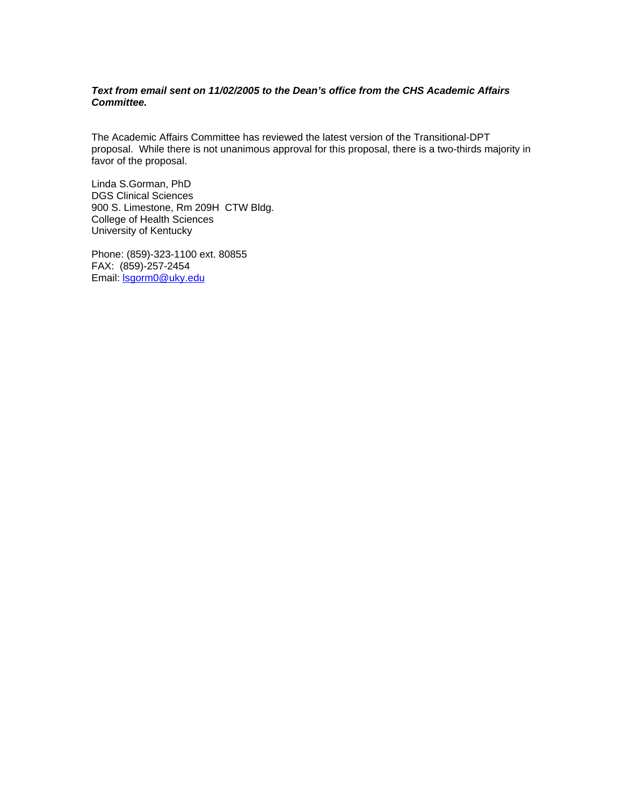#### *Text from email sent on 11/02/2005 to the Dean's office from the CHS Academic Affairs Committee.*

The Academic Affairs Committee has reviewed the latest version of the Transitional-DPT proposal. While there is not unanimous approval for this proposal, there is a two-thirds majority in favor of the proposal.

Linda S.Gorman, PhD DGS Clinical Sciences 900 S. Limestone, Rm 209H CTW Bldg. College of Health Sciences University of Kentucky

Phone: (859)-323-1100 ext. 80855 FAX: (859)-257-2454 Email: lsgorm0@uky.edu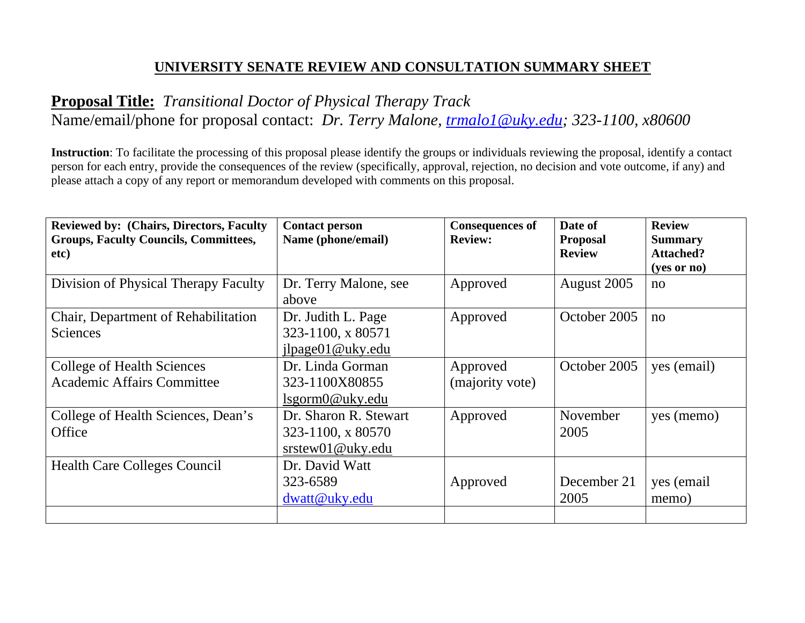## **UNIVERSITY SENATE REVIEW AND CONSULTATION SUMMARY SHEET**

# **Proposal Title:** *Transitional Doctor of Physical Therapy Track*  Name/email/phone for proposal contact: *Dr. Terry Malone, trmalo1@uky.edu; 323-1100, x80600*

**Instruction**: To facilitate the processing of this proposal please identify the groups or individuals reviewing the proposal, identify a contact person for each entry, provide the consequences of the review (specifically, approval, rejection, no decision and vote outcome, if any) and please attach a copy of any report or memorandum developed with comments on this proposal.

| <b>Reviewed by: (Chairs, Directors, Faculty)</b><br><b>Groups, Faculty Councils, Committees,</b> | <b>Contact person</b><br>Name (phone/email)                           | <b>Consequences of</b><br><b>Review:</b> | Date of<br><b>Proposal</b> | <b>Review</b><br><b>Summary</b> |
|--------------------------------------------------------------------------------------------------|-----------------------------------------------------------------------|------------------------------------------|----------------------------|---------------------------------|
| etc)                                                                                             |                                                                       |                                          | <b>Review</b>              | <b>Attached?</b><br>(yes or no) |
| Division of Physical Therapy Faculty                                                             | Dr. Terry Malone, see<br>above                                        | Approved                                 | August 2005                | no                              |
| Chair, Department of Rehabilitation<br><b>Sciences</b>                                           | Dr. Judith L. Page<br>323-1100, x 80571<br>ilpage01@uky.edu           | Approved                                 | October 2005               | no                              |
| <b>College of Health Sciences</b><br><b>Academic Affairs Committee</b>                           | Dr. Linda Gorman<br>323-1100X80855<br>lsgorm0@uky.edu                 | Approved<br>(majority vote)              | October 2005               | yes (email)                     |
| College of Health Sciences, Dean's<br>Office                                                     | Dr. Sharon R. Stewart<br>323-1100, x 80570<br>$s$ rstew $01@$ uky.edu | Approved                                 | November<br>2005           | yes (memo)                      |
| <b>Health Care Colleges Council</b>                                                              | Dr. David Watt<br>323-6589<br>dwatt@uky.edu                           | Approved                                 | December 21<br>2005        | yes (email<br>memo)             |